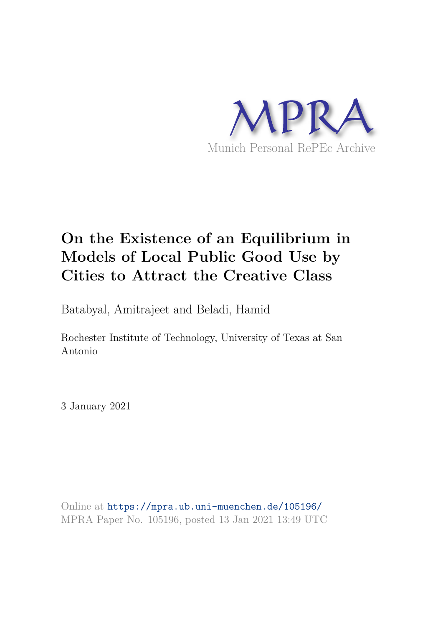

## **On the Existence of an Equilibrium in Models of Local Public Good Use by Cities to Attract the Creative Class**

Batabyal, Amitrajeet and Beladi, Hamid

Rochester Institute of Technology, University of Texas at San Antonio

3 January 2021

Online at https://mpra.ub.uni-muenchen.de/105196/ MPRA Paper No. 105196, posted 13 Jan 2021 13:49 UTC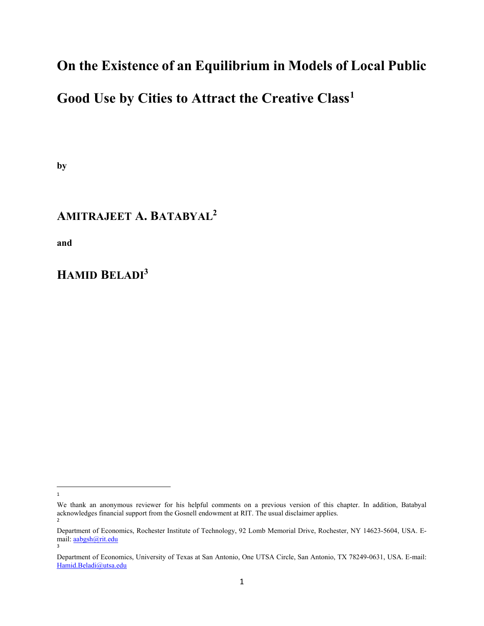## On the Existence of an Equilibrium in Models of Local Public

## Good Use by Cities to Attract the Creative Class<sup>1</sup>

by

## AMITRAJEET A. BATABYAL<sup>2</sup>

and

### HAMID BELADI<sup>3</sup>

<sup>1</sup>

We thank an anonymous reviewer for his helpful comments on a previous version of this chapter. In addition, Batabyal acknowledges financial support from the Gosnell endowment at RIT. The usual disclaimer applies. 2

Department of Economics, Rochester Institute of Technology, 92 Lomb Memorial Drive, Rochester, NY 14623-5604, USA. Email: aabgsh@rit.edu 3

Department of Economics, University of Texas at San Antonio, One UTSA Circle, San Antonio, TX 78249-0631, USA. E-mail: Hamid.Beladi@utsa.edu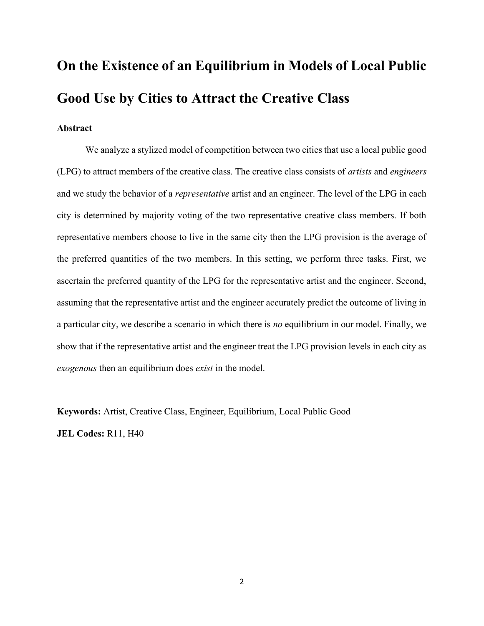# On the Existence of an Equilibrium in Models of Local Public Good Use by Cities to Attract the Creative Class

#### Abstract

We analyze a stylized model of competition between two cities that use a local public good (LPG) to attract members of the creative class. The creative class consists of artists and engineers and we study the behavior of a representative artist and an engineer. The level of the LPG in each city is determined by majority voting of the two representative creative class members. If both representative members choose to live in the same city then the LPG provision is the average of the preferred quantities of the two members. In this setting, we perform three tasks. First, we ascertain the preferred quantity of the LPG for the representative artist and the engineer. Second, assuming that the representative artist and the engineer accurately predict the outcome of living in a particular city, we describe a scenario in which there is no equilibrium in our model. Finally, we show that if the representative artist and the engineer treat the LPG provision levels in each city as exogenous then an equilibrium does exist in the model.

Keywords: Artist, Creative Class, Engineer, Equilibrium, Local Public Good JEL Codes: R11, H40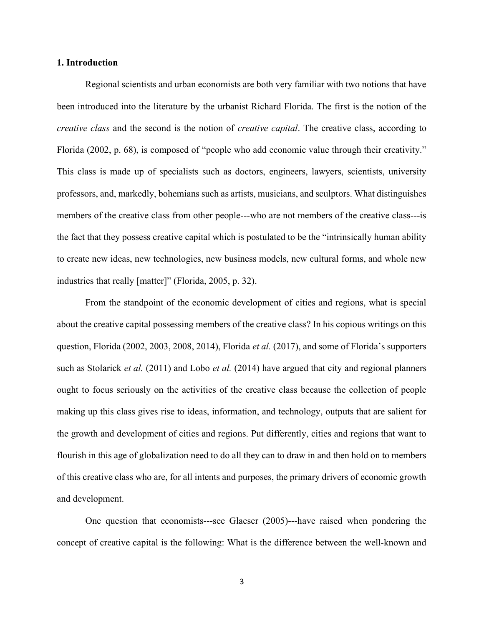#### 1. Introduction

Regional scientists and urban economists are both very familiar with two notions that have been introduced into the literature by the urbanist Richard Florida. The first is the notion of the creative class and the second is the notion of creative capital. The creative class, according to Florida (2002, p. 68), is composed of "people who add economic value through their creativity." This class is made up of specialists such as doctors, engineers, lawyers, scientists, university professors, and, markedly, bohemians such as artists, musicians, and sculptors. What distinguishes members of the creative class from other people---who are not members of the creative class---is the fact that they possess creative capital which is postulated to be the "intrinsically human ability to create new ideas, new technologies, new business models, new cultural forms, and whole new industries that really [matter]" (Florida, 2005, p. 32).

 From the standpoint of the economic development of cities and regions, what is special about the creative capital possessing members of the creative class? In his copious writings on this question, Florida (2002, 2003, 2008, 2014), Florida *et al.* (2017), and some of Florida's supporters such as Stolarick et al. (2011) and Lobo et al. (2014) have argued that city and regional planners ought to focus seriously on the activities of the creative class because the collection of people making up this class gives rise to ideas, information, and technology, outputs that are salient for the growth and development of cities and regions. Put differently, cities and regions that want to flourish in this age of globalization need to do all they can to draw in and then hold on to members of this creative class who are, for all intents and purposes, the primary drivers of economic growth and development.

 One question that economists---see Glaeser (2005)---have raised when pondering the concept of creative capital is the following: What is the difference between the well-known and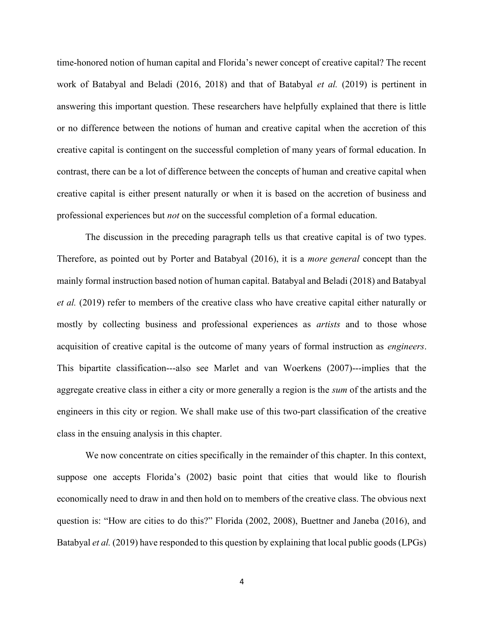time-honored notion of human capital and Florida's newer concept of creative capital? The recent work of Batabyal and Beladi (2016, 2018) and that of Batabyal *et al.* (2019) is pertinent in answering this important question. These researchers have helpfully explained that there is little or no difference between the notions of human and creative capital when the accretion of this creative capital is contingent on the successful completion of many years of formal education. In contrast, there can be a lot of difference between the concepts of human and creative capital when creative capital is either present naturally or when it is based on the accretion of business and professional experiences but not on the successful completion of a formal education.

 The discussion in the preceding paragraph tells us that creative capital is of two types. Therefore, as pointed out by Porter and Batabyal (2016), it is a more general concept than the mainly formal instruction based notion of human capital. Batabyal and Beladi (2018) and Batabyal et al. (2019) refer to members of the creative class who have creative capital either naturally or mostly by collecting business and professional experiences as *artists* and to those whose acquisition of creative capital is the outcome of many years of formal instruction as engineers. This bipartite classification---also see Marlet and van Woerkens (2007)---implies that the aggregate creative class in either a city or more generally a region is the sum of the artists and the engineers in this city or region. We shall make use of this two-part classification of the creative class in the ensuing analysis in this chapter.

 We now concentrate on cities specifically in the remainder of this chapter. In this context, suppose one accepts Florida's (2002) basic point that cities that would like to flourish economically need to draw in and then hold on to members of the creative class. The obvious next question is: "How are cities to do this?" Florida (2002, 2008), Buettner and Janeba (2016), and Batabyal et al. (2019) have responded to this question by explaining that local public goods (LPGs)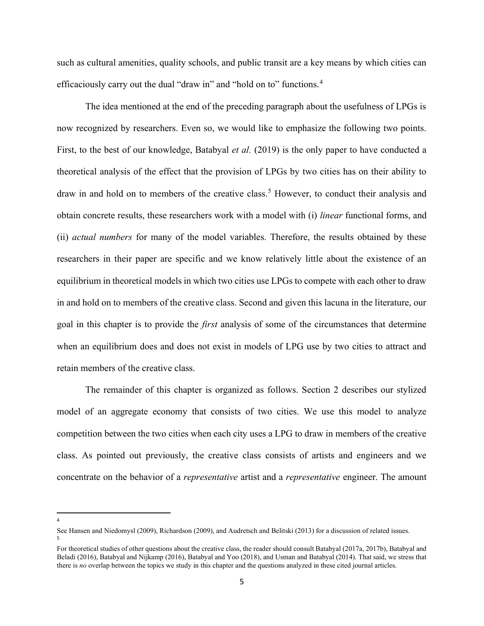such as cultural amenities, quality schools, and public transit are a key means by which cities can efficaciously carry out the dual "draw in" and "hold on to" functions.<sup>4</sup>

 The idea mentioned at the end of the preceding paragraph about the usefulness of LPGs is now recognized by researchers. Even so, we would like to emphasize the following two points. First, to the best of our knowledge, Batabyal *et al.* (2019) is the only paper to have conducted a theoretical analysis of the effect that the provision of LPGs by two cities has on their ability to draw in and hold on to members of the creative class.<sup>5</sup> However, to conduct their analysis and obtain concrete results, these researchers work with a model with (i) linear functional forms, and (ii) actual numbers for many of the model variables. Therefore, the results obtained by these researchers in their paper are specific and we know relatively little about the existence of an equilibrium in theoretical models in which two cities use LPGs to compete with each other to draw in and hold on to members of the creative class. Second and given this lacuna in the literature, our goal in this chapter is to provide the first analysis of some of the circumstances that determine when an equilibrium does and does not exist in models of LPG use by two cities to attract and retain members of the creative class.

The remainder of this chapter is organized as follows. Section 2 describes our stylized model of an aggregate economy that consists of two cities. We use this model to analyze competition between the two cities when each city uses a LPG to draw in members of the creative class. As pointed out previously, the creative class consists of artists and engineers and we concentrate on the behavior of a representative artist and a representative engineer. The amount

<sup>4</sup>

See Hansen and Niedomysl (2009), Richardson (2009), and Audretsch and Belitski (2013) for a discussion of related issues. 5

For theoretical studies of other questions about the creative class, the reader should consult Batabyal (2017a, 2017b), Batabyal and Beladi (2016), Batabyal and Nijkamp (2016), Batabyal and Yoo (2018), and Usman and Batabyal (2014). That said, we stress that there is no overlap between the topics we study in this chapter and the questions analyzed in these cited journal articles.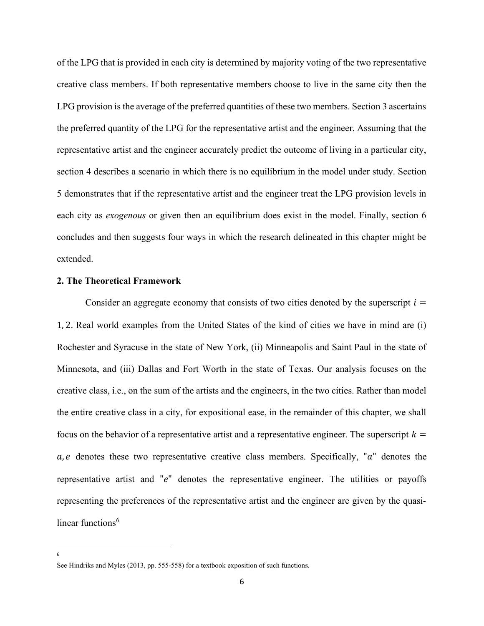of the LPG that is provided in each city is determined by majority voting of the two representative creative class members. If both representative members choose to live in the same city then the LPG provision is the average of the preferred quantities of these two members. Section 3 ascertains the preferred quantity of the LPG for the representative artist and the engineer. Assuming that the representative artist and the engineer accurately predict the outcome of living in a particular city, section 4 describes a scenario in which there is no equilibrium in the model under study. Section 5 demonstrates that if the representative artist and the engineer treat the LPG provision levels in each city as exogenous or given then an equilibrium does exist in the model. Finally, section 6 concludes and then suggests four ways in which the research delineated in this chapter might be extended.

#### 2. The Theoretical Framework

Consider an aggregate economy that consists of two cities denoted by the superscript  $i =$ 1, 2. Real world examples from the United States of the kind of cities we have in mind are (i) Rochester and Syracuse in the state of New York, (ii) Minneapolis and Saint Paul in the state of Minnesota, and (iii) Dallas and Fort Worth in the state of Texas. Our analysis focuses on the creative class, i.e., on the sum of the artists and the engineers, in the two cities. Rather than model the entire creative class in a city, for expositional ease, in the remainder of this chapter, we shall focus on the behavior of a representative artist and a representative engineer. The superscript  $k =$  $a, e$  denotes these two representative creative class members. Specifically, " $a$ " denotes the representative artist and " $e$ " denotes the representative engineer. The utilities or payoffs representing the preferences of the representative artist and the engineer are given by the quasilinear functions $<sup>6</sup>$ </sup>

6

See Hindriks and Myles (2013, pp. 555-558) for a textbook exposition of such functions.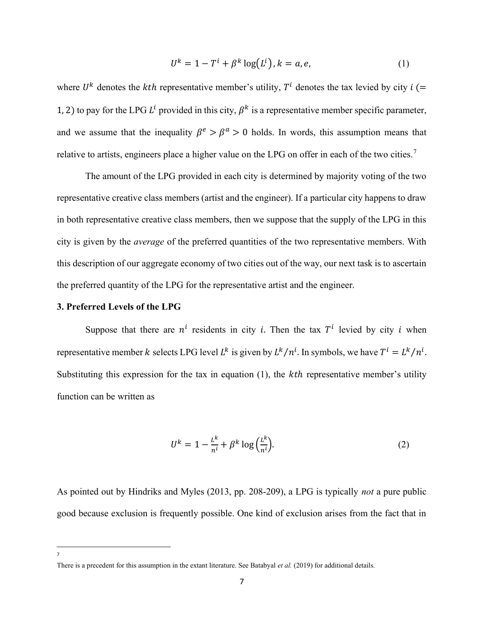$$
U^k = 1 - T^i + \beta^k \log(L^i), k = a, e,
$$
\n<sup>(1)</sup>

where  $U^k$  denotes the *kth* representative member's utility,  $T^i$  denotes the tax levied by city  $i$  (= 1, 2) to pay for the LPG  $L^1$  provided in this city,  $\beta^k$  is a representative member specific parameter, and we assume that the inequality  $\beta^e > \beta^a > 0$  holds. In words, this assumption means that relative to artists, engineers place a higher value on the LPG on offer in each of the two cities.<sup>7</sup>

The amount of the LPG provided in each city is determined by majority voting of the two representative creative class members (artist and the engineer). If a particular city happens to draw in both representative creative class members, then we suppose that the supply of the LPG in this city is given by the average of the preferred quantities of the two representative members. With this description of our aggregate economy of two cities out of the way, our next task is to ascertain the preferred quantity of the LPG for the representative artist and the engineer.

#### 3. Preferred Levels of the LPG

Suppose that there are  $n^l$  residents in city *i*. Then the tax  $T^l$  levied by city *i* when representative member k selects LPG level  $L^k$  is given by  $L^k/n^l$ . In symbols, we have  $T^l = L^k/n^l$ . Substituting this expression for the tax in equation  $(1)$ , the  $kth$  representative member's utility function can be written as

$$
U^k = 1 - \frac{L^k}{n^i} + \beta^k \log\left(\frac{L^k}{n^i}\right). \tag{2}
$$

As pointed out by Hindriks and Myles (2013, pp. 208-209), a LPG is typically not a pure public good because exclusion is frequently possible. One kind of exclusion arises from the fact that in

7

There is a precedent for this assumption in the extant literature. See Batabyal et al. (2019) for additional details.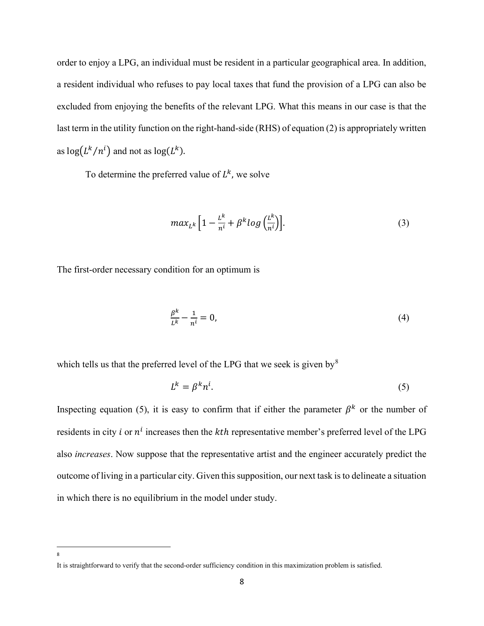order to enjoy a LPG, an individual must be resident in a particular geographical area. In addition, a resident individual who refuses to pay local taxes that fund the provision of a LPG can also be excluded from enjoying the benefits of the relevant LPG. What this means in our case is that the last term in the utility function on the right-hand-side (RHS) of equation (2) is appropriately written as  $\log(L^k/n^l)$  and not as  $\log(L^k)$ .

To determine the preferred value of  $L^k$ , we solve

$$
max_{L^k} \left[ 1 - \frac{L^k}{n^i} + \beta^k log\left(\frac{L^k}{n^i}\right) \right].
$$
 (3)

The first-order necessary condition for an optimum is

$$
\frac{\beta^k}{L^k} - \frac{1}{n^i} = 0,\tag{4}
$$

which tells us that the preferred level of the LPG that we seek is given by  $8$ 

$$
L^k = \beta^k n^i. \tag{5}
$$

Inspecting equation (5), it is easy to confirm that if either the parameter  $\beta^k$  or the number of residents in city *i* or  $n^i$  increases then the *kth* representative member's preferred level of the LPG also increases. Now suppose that the representative artist and the engineer accurately predict the outcome of living in a particular city. Given this supposition, our next task is to delineate a situation in which there is no equilibrium in the model under study.

<sup>8</sup>

It is straightforward to verify that the second-order sufficiency condition in this maximization problem is satisfied.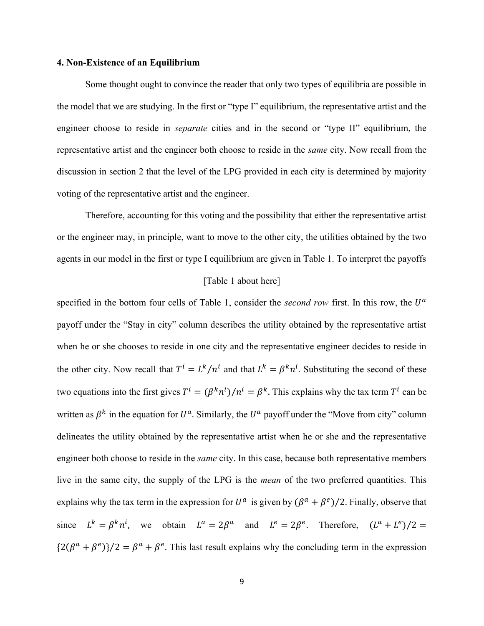#### 4. Non-Existence of an Equilibrium

 Some thought ought to convince the reader that only two types of equilibria are possible in the model that we are studying. In the first or "type I" equilibrium, the representative artist and the engineer choose to reside in *separate* cities and in the second or "type II" equilibrium, the representative artist and the engineer both choose to reside in the *same* city. Now recall from the discussion in section 2 that the level of the LPG provided in each city is determined by majority voting of the representative artist and the engineer.

 Therefore, accounting for this voting and the possibility that either the representative artist or the engineer may, in principle, want to move to the other city, the utilities obtained by the two agents in our model in the first or type I equilibrium are given in Table 1. To interpret the payoffs

#### [Table 1 about here]

specified in the bottom four cells of Table 1, consider the *second row* first. In this row, the  $U^a$ payoff under the "Stay in city" column describes the utility obtained by the representative artist when he or she chooses to reside in one city and the representative engineer decides to reside in the other city. Now recall that  $T^i = L^k/n^i$  and that  $L^k = \beta^k n^i$ . Substituting the second of these two equations into the first gives  $T^i = (\beta^k n^i)/n^i = \beta^k$ . This explains why the tax term  $T^i$  can be written as  $\beta^k$  in the equation for  $U^a$ . Similarly, the  $U^a$  payoff under the "Move from city" column delineates the utility obtained by the representative artist when he or she and the representative engineer both choose to reside in the *same* city. In this case, because both representative members live in the same city, the supply of the LPG is the mean of the two preferred quantities. This explains why the tax term in the expression for  $U^a$  is given by  $(\beta^a + \beta^e)/2$ . Finally, observe that since  $L^k = \beta^k n^i$ , we obtain  $L^a = 2\beta^a$  and  $L^e = 2\beta^e$ . Therefore,  $(L^a + L^e)/2 =$  $\{2(\beta^a + \beta^e)\}/2 = \beta^a + \beta^e$ . This last result explains why the concluding term in the expression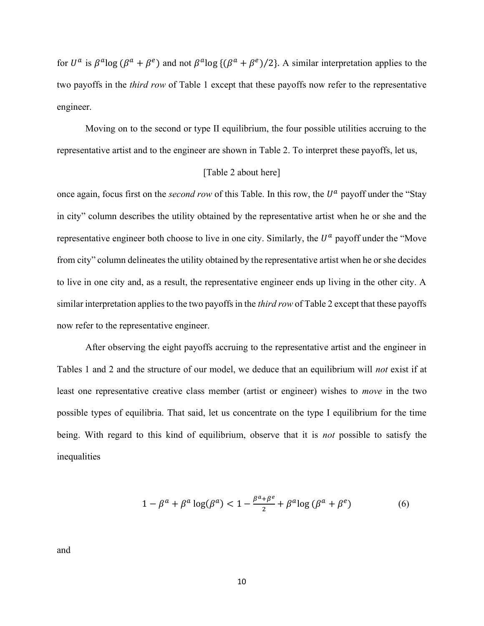for  $U^a$  is  $\beta^a \log (\beta^a + \beta^e)$  and not  $\beta^a \log ((\beta^a + \beta^e)/2)$ . A similar interpretation applies to the two payoffs in the third row of Table 1 except that these payoffs now refer to the representative engineer.

 Moving on to the second or type II equilibrium, the four possible utilities accruing to the representative artist and to the engineer are shown in Table 2. To interpret these payoffs, let us,

#### [Table 2 about here]

once again, focus first on the *second row* of this Table. In this row, the  $U^a$  payoff under the "Stay in city" column describes the utility obtained by the representative artist when he or she and the representative engineer both choose to live in one city. Similarly, the  $U^a$  payoff under the "Move from city" column delineates the utility obtained by the representative artist when he or she decides to live in one city and, as a result, the representative engineer ends up living in the other city. A similar interpretation applies to the two payoffs in the *third row* of Table 2 except that these payoffs now refer to the representative engineer.

 After observing the eight payoffs accruing to the representative artist and the engineer in Tables 1 and 2 and the structure of our model, we deduce that an equilibrium will not exist if at least one representative creative class member (artist or engineer) wishes to move in the two possible types of equilibria. That said, let us concentrate on the type I equilibrium for the time being. With regard to this kind of equilibrium, observe that it is *not* possible to satisfy the inequalities

$$
1 - \beta^a + \beta^a \log(\beta^a) < 1 - \frac{\beta^a + \beta^e}{2} + \beta^a \log(\beta^a + \beta^e) \tag{6}
$$

and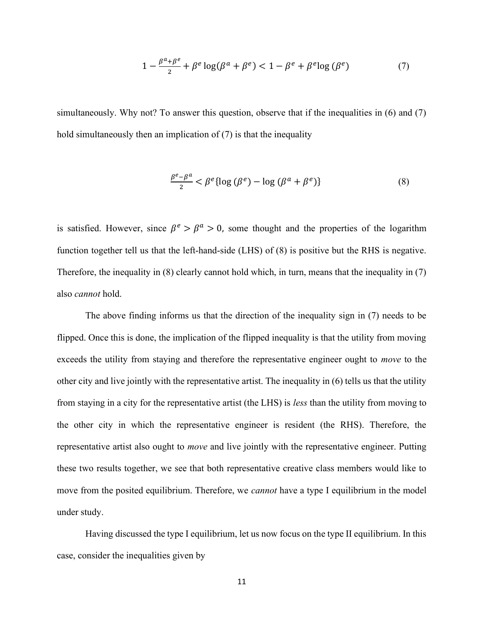$$
1 - \frac{\beta^a + \beta^e}{2} + \beta^e \log(\beta^a + \beta^e) < 1 - \beta^e + \beta^e \log(\beta^e) \tag{7}
$$

simultaneously. Why not? To answer this question, observe that if the inequalities in (6) and (7) hold simultaneously then an implication of (7) is that the inequality

$$
\frac{\beta^e - \beta^a}{2} < \beta^e \{ \log \left( \beta^e \right) - \log \left( \beta^a + \beta^e \right) \} \tag{8}
$$

is satisfied. However, since  $\beta^e > \beta^a > 0$ , some thought and the properties of the logarithm function together tell us that the left-hand-side (LHS) of (8) is positive but the RHS is negative. Therefore, the inequality in (8) clearly cannot hold which, in turn, means that the inequality in (7) also cannot hold.

 The above finding informs us that the direction of the inequality sign in (7) needs to be flipped. Once this is done, the implication of the flipped inequality is that the utility from moving exceeds the utility from staying and therefore the representative engineer ought to *move* to the other city and live jointly with the representative artist. The inequality in (6) tells us that the utility from staying in a city for the representative artist (the LHS) is less than the utility from moving to the other city in which the representative engineer is resident (the RHS). Therefore, the representative artist also ought to *move* and live jointly with the representative engineer. Putting these two results together, we see that both representative creative class members would like to move from the posited equilibrium. Therefore, we *cannot* have a type I equilibrium in the model under study.

 Having discussed the type I equilibrium, let us now focus on the type II equilibrium. In this case, consider the inequalities given by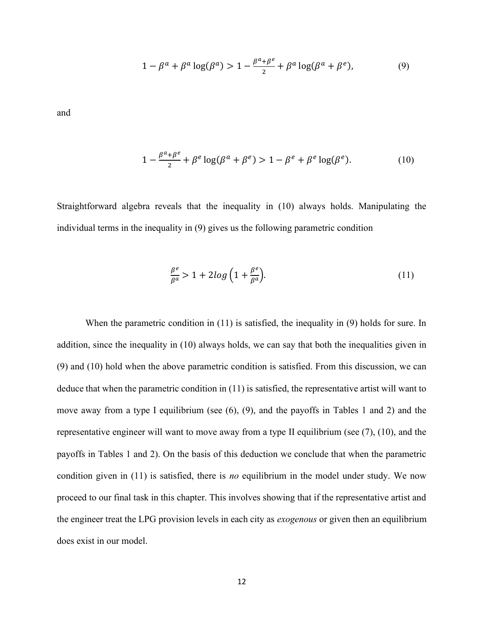$$
1 - \beta^a + \beta^a \log(\beta^a) > 1 - \frac{\beta^a + \beta^e}{2} + \beta^a \log(\beta^a + \beta^e),\tag{9}
$$

and

$$
1 - \frac{\beta^a + \beta^e}{2} + \beta^e \log(\beta^a + \beta^e) > 1 - \beta^e + \beta^e \log(\beta^e). \tag{10}
$$

Straightforward algebra reveals that the inequality in (10) always holds. Manipulating the individual terms in the inequality in (9) gives us the following parametric condition

$$
\frac{\beta^e}{\beta^a} > 1 + 2\log\left(1 + \frac{\beta^e}{\beta^a}\right). \tag{11}
$$

 When the parametric condition in (11) is satisfied, the inequality in (9) holds for sure. In addition, since the inequality in (10) always holds, we can say that both the inequalities given in (9) and (10) hold when the above parametric condition is satisfied. From this discussion, we can deduce that when the parametric condition in (11) is satisfied, the representative artist will want to move away from a type I equilibrium (see (6), (9), and the payoffs in Tables 1 and 2) and the representative engineer will want to move away from a type II equilibrium (see (7), (10), and the payoffs in Tables 1 and 2). On the basis of this deduction we conclude that when the parametric condition given in  $(11)$  is satisfied, there is *no* equilibrium in the model under study. We now proceed to our final task in this chapter. This involves showing that if the representative artist and the engineer treat the LPG provision levels in each city as *exogenous* or given then an equilibrium does exist in our model.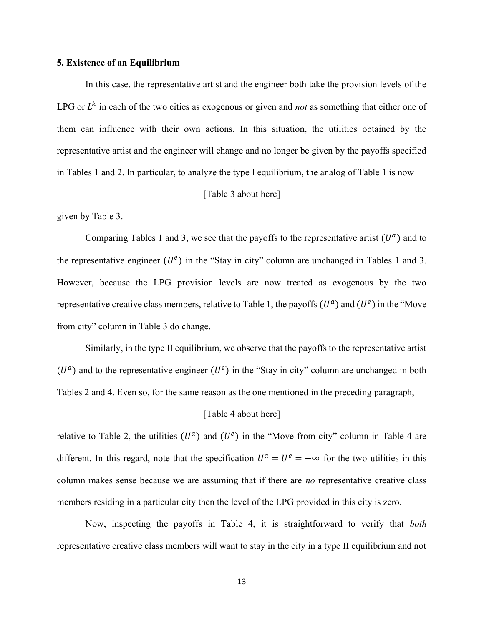#### 5. Existence of an Equilibrium

 In this case, the representative artist and the engineer both take the provision levels of the LPG or  $L^k$  in each of the two cities as exogenous or given and *not* as something that either one of them can influence with their own actions. In this situation, the utilities obtained by the representative artist and the engineer will change and no longer be given by the payoffs specified in Tables 1 and 2. In particular, to analyze the type I equilibrium, the analog of Table 1 is now

#### [Table 3 about here]

given by Table 3.

Comparing Tables 1 and 3, we see that the payoffs to the representative artist  $(U^a)$  and to the representative engineer  $(U^e)$  in the "Stay in city" column are unchanged in Tables 1 and 3. However, because the LPG provision levels are now treated as exogenous by the two representative creative class members, relative to Table 1, the payoffs  $(U^a)$  and  $(U^e)$  in the "Move from city" column in Table 3 do change.

 Similarly, in the type II equilibrium, we observe that the payoffs to the representative artist  $(U^a)$  and to the representative engineer  $(U^e)$  in the "Stay in city" column are unchanged in both Tables 2 and 4. Even so, for the same reason as the one mentioned in the preceding paragraph,

#### [Table 4 about here]

relative to Table 2, the utilities  $(U^a)$  and  $(U^e)$  in the "Move from city" column in Table 4 are different. In this regard, note that the specification  $U^a = U^e = -\infty$  for the two utilities in this column makes sense because we are assuming that if there are *no* representative creative class members residing in a particular city then the level of the LPG provided in this city is zero.

 Now, inspecting the payoffs in Table 4, it is straightforward to verify that both representative creative class members will want to stay in the city in a type II equilibrium and not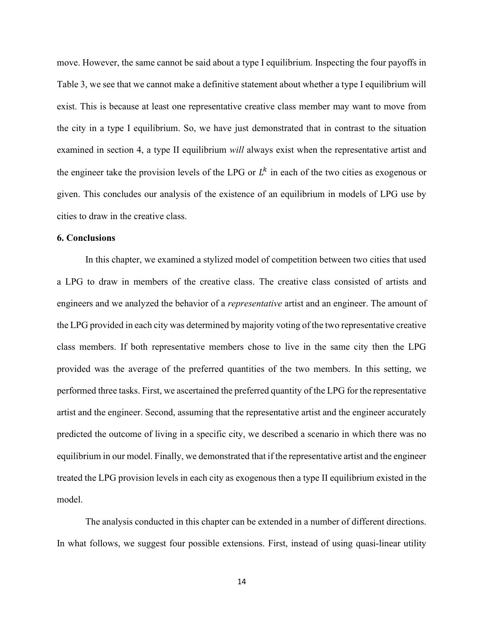move. However, the same cannot be said about a type I equilibrium. Inspecting the four payoffs in Table 3, we see that we cannot make a definitive statement about whether a type I equilibrium will exist. This is because at least one representative creative class member may want to move from the city in a type I equilibrium. So, we have just demonstrated that in contrast to the situation examined in section 4, a type II equilibrium will always exist when the representative artist and the engineer take the provision levels of the LPG or  $L^k$  in each of the two cities as exogenous or given. This concludes our analysis of the existence of an equilibrium in models of LPG use by cities to draw in the creative class.

#### 6. Conclusions

 In this chapter, we examined a stylized model of competition between two cities that used a LPG to draw in members of the creative class. The creative class consisted of artists and engineers and we analyzed the behavior of a *representative* artist and an engineer. The amount of the LPG provided in each city was determined by majority voting of the two representative creative class members. If both representative members chose to live in the same city then the LPG provided was the average of the preferred quantities of the two members. In this setting, we performed three tasks. First, we ascertained the preferred quantity of the LPG for the representative artist and the engineer. Second, assuming that the representative artist and the engineer accurately predicted the outcome of living in a specific city, we described a scenario in which there was no equilibrium in our model. Finally, we demonstrated that if the representative artist and the engineer treated the LPG provision levels in each city as exogenous then a type II equilibrium existed in the model.

 The analysis conducted in this chapter can be extended in a number of different directions. In what follows, we suggest four possible extensions. First, instead of using quasi-linear utility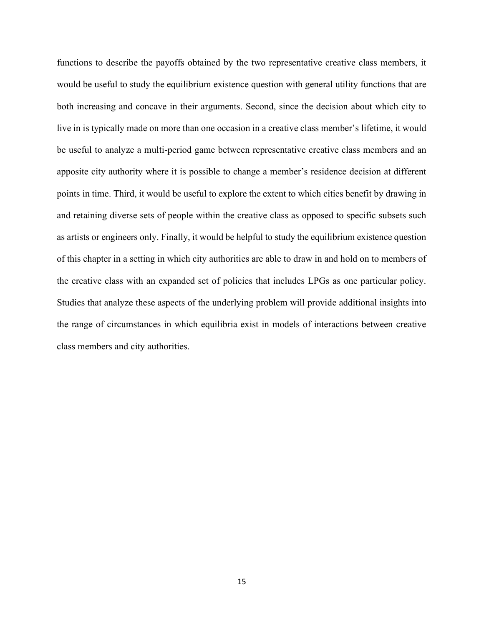functions to describe the payoffs obtained by the two representative creative class members, it would be useful to study the equilibrium existence question with general utility functions that are both increasing and concave in their arguments. Second, since the decision about which city to live in is typically made on more than one occasion in a creative class member's lifetime, it would be useful to analyze a multi-period game between representative creative class members and an apposite city authority where it is possible to change a member's residence decision at different points in time. Third, it would be useful to explore the extent to which cities benefit by drawing in and retaining diverse sets of people within the creative class as opposed to specific subsets such as artists or engineers only. Finally, it would be helpful to study the equilibrium existence question of this chapter in a setting in which city authorities are able to draw in and hold on to members of the creative class with an expanded set of policies that includes LPGs as one particular policy. Studies that analyze these aspects of the underlying problem will provide additional insights into the range of circumstances in which equilibria exist in models of interactions between creative class members and city authorities.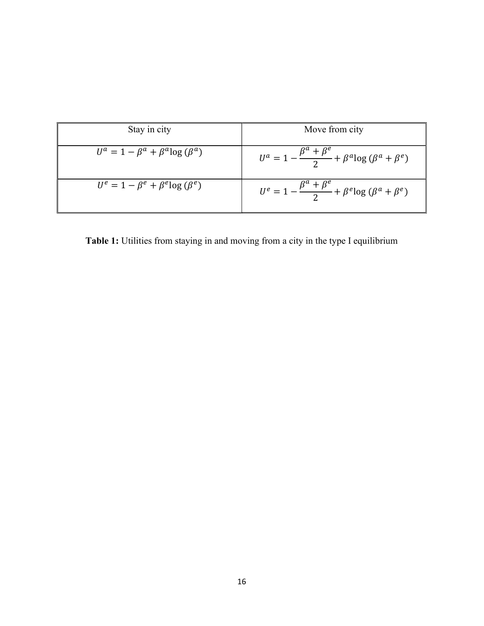| Stay in city                                  | Move from city                                                              |
|-----------------------------------------------|-----------------------------------------------------------------------------|
| $U^a = 1 - \beta^a + \beta^a \log{(\beta^a)}$ | $U^a = 1 - \frac{\beta^a + \beta^e}{2} + \beta^a \log{(\beta^a + \beta^e)}$ |
| $U^e = 1 - \beta^e + \beta^e \log{(\beta^e)}$ | $U^e = 1 - \frac{\beta^a + \beta^e}{2} + \beta^e \log{(\beta^a + \beta^e)}$ |

Table 1: Utilities from staying in and moving from a city in the type I equilibrium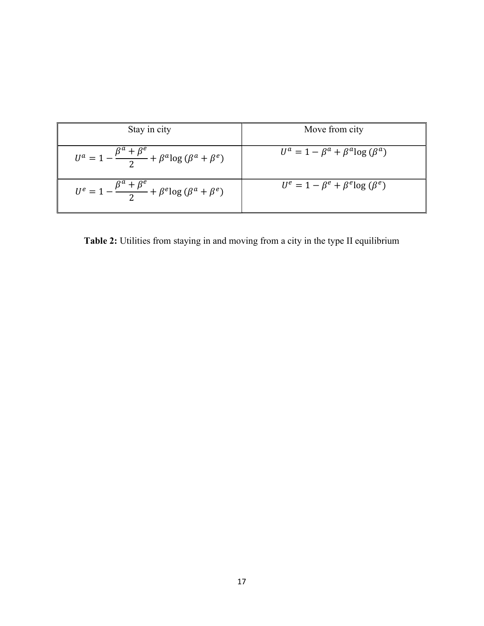| Stay in city                                                                | Move from city                                |
|-----------------------------------------------------------------------------|-----------------------------------------------|
| $U^a = 1 - \frac{\beta^a + \beta^e}{2} + \beta^a \log{(\beta^a + \beta^e)}$ | $U^a = 1 - \beta^a + \beta^a \log{(\beta^a)}$ |
| $U^e = 1 - \frac{\beta^a + \beta^e}{2} + \beta^e \log{(\beta^a + \beta^e)}$ | $U^e = 1 - \beta^e + \beta^e \log{(\beta^e)}$ |

Table 2: Utilities from staying in and moving from a city in the type II equilibrium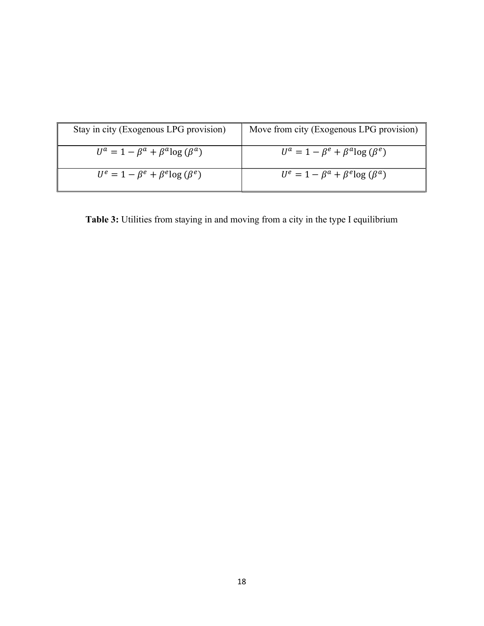| Stay in city (Exogenous LPG provision)        | Move from city (Exogenous LPG provision)      |
|-----------------------------------------------|-----------------------------------------------|
| $U^a = 1 - \beta^a + \beta^a \log{(\beta^a)}$ | $U^a = 1 - \beta^e + \beta^a \log{(\beta^e)}$ |
| $U^e = 1 - \beta^e + \beta^e \log{(\beta^e)}$ | $U^e = 1 - \beta^a + \beta^e \log{(\beta^a)}$ |

Table 3: Utilities from staying in and moving from a city in the type I equilibrium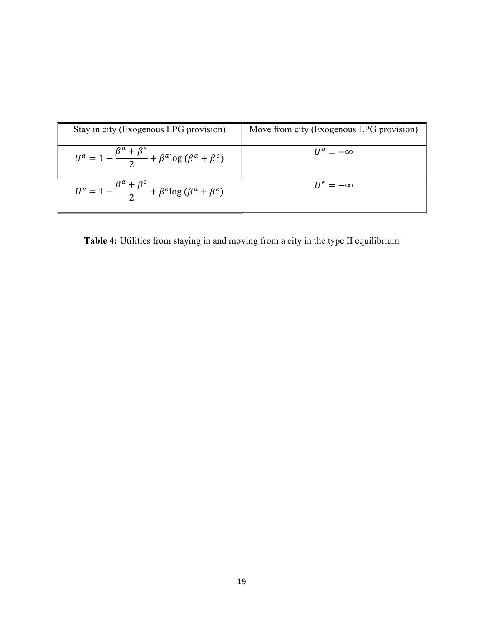| Stay in city (Exogenous LPG provision)                                      | Move from city (Exogenous LPG provision) |
|-----------------------------------------------------------------------------|------------------------------------------|
| $U^a = 1 - \frac{\beta^a + \beta^e}{2} + \beta^a \log{(\beta^a + \beta^e)}$ | $U^a = -\infty$                          |
| $U^e = 1 - \frac{\beta^a + \beta^e}{2} + \beta^e \log{(\beta^a + \beta^e)}$ | $II^e = -\infty$                         |

Table 4: Utilities from staying in and moving from a city in the type II equilibrium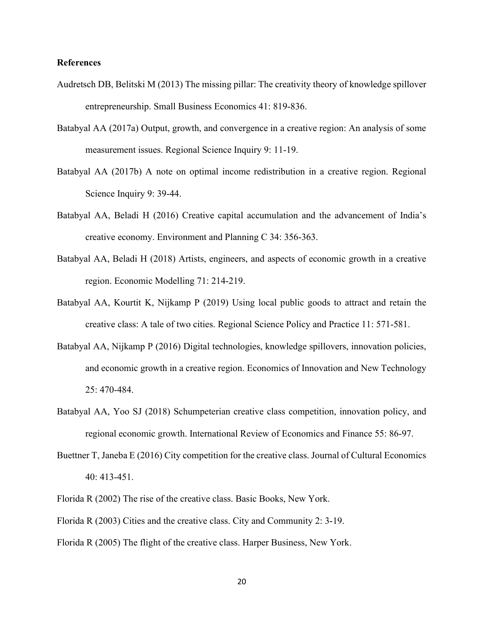#### References

- Audretsch DB, Belitski M (2013) The missing pillar: The creativity theory of knowledge spillover entrepreneurship. Small Business Economics 41: 819-836.
- Batabyal AA (2017a) Output, growth, and convergence in a creative region: An analysis of some measurement issues. Regional Science Inquiry 9: 11-19.
- Batabyal AA (2017b) A note on optimal income redistribution in a creative region. Regional Science Inquiry 9: 39-44.
- Batabyal AA, Beladi H (2016) Creative capital accumulation and the advancement of India's creative economy. Environment and Planning C 34: 356-363.
- Batabyal AA, Beladi H (2018) Artists, engineers, and aspects of economic growth in a creative region. Economic Modelling 71: 214-219.
- Batabyal AA, Kourtit K, Nijkamp P (2019) Using local public goods to attract and retain the creative class: A tale of two cities. Regional Science Policy and Practice 11: 571-581.
- Batabyal AA, Nijkamp P (2016) Digital technologies, knowledge spillovers, innovation policies, and economic growth in a creative region. Economics of Innovation and New Technology 25: 470-484.
- Batabyal AA, Yoo SJ (2018) Schumpeterian creative class competition, innovation policy, and regional economic growth. International Review of Economics and Finance 55: 86-97.
- Buettner T, Janeba E (2016) City competition for the creative class. Journal of Cultural Economics 40: 413-451.
- Florida R (2002) The rise of the creative class. Basic Books, New York.
- Florida R (2003) Cities and the creative class. City and Community 2: 3-19.
- Florida R (2005) The flight of the creative class. Harper Business, New York.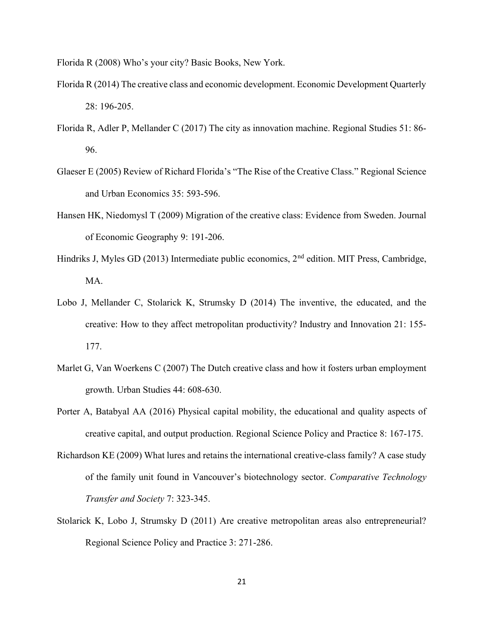Florida R (2008) Who's your city? Basic Books, New York.

- Florida R (2014) The creative class and economic development. Economic Development Quarterly 28: 196-205.
- Florida R, Adler P, Mellander C (2017) The city as innovation machine. Regional Studies 51: 86- 96.
- Glaeser E (2005) Review of Richard Florida's "The Rise of the Creative Class." Regional Science and Urban Economics 35: 593-596.
- Hansen HK, Niedomysl T (2009) Migration of the creative class: Evidence from Sweden. Journal of Economic Geography 9: 191-206.
- Hindriks J, Myles GD (2013) Intermediate public economics, 2<sup>nd</sup> edition. MIT Press, Cambridge, MA.
- Lobo J, Mellander C, Stolarick K, Strumsky D (2014) The inventive, the educated, and the creative: How to they affect metropolitan productivity? Industry and Innovation 21: 155- 177.
- Marlet G, Van Woerkens C (2007) The Dutch creative class and how it fosters urban employment growth. Urban Studies 44: 608-630.
- Porter A, Batabyal AA (2016) Physical capital mobility, the educational and quality aspects of creative capital, and output production. Regional Science Policy and Practice 8: 167-175.
- Richardson KE (2009) What lures and retains the international creative-class family? A case study of the family unit found in Vancouver's biotechnology sector. Comparative Technology Transfer and Society 7: 323-345.
- Stolarick K, Lobo J, Strumsky D (2011) Are creative metropolitan areas also entrepreneurial? Regional Science Policy and Practice 3: 271-286.